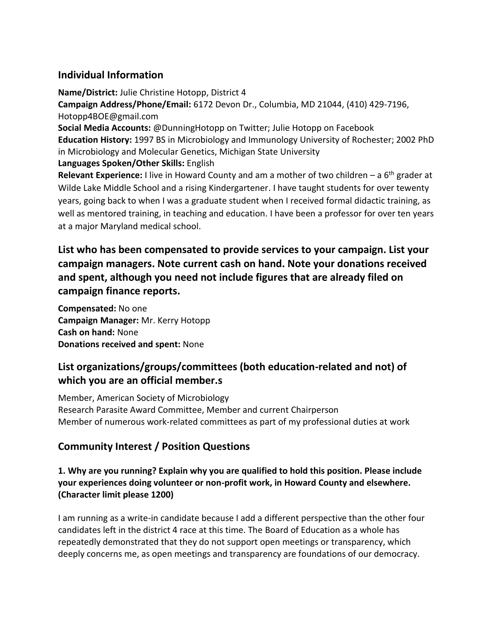# **Individual Information**

**Name/District:** Julie Christine Hotopp, District 4 **Campaign Address/Phone/Email:** 6172 Devon Dr., Columbia, MD 21044, (410) 429-7196, Hotopp4BOE@gmail.com **Social Media Accounts:** @DunningHotopp on Twitter; Julie Hotopp on Facebook **Education History:** 1997 BS in Microbiology and Immunology University of Rochester; 2002 PhD in Microbiology and Molecular Genetics, Michigan State University **Languages Spoken/Other Skills:** English **Relevant Experience:** I live in Howard County and am a mother of two children – a 6th grader at Wilde Lake Middle School and a rising Kindergartener. I have taught students for over tewenty years, going back to when I was a graduate student when I received formal didactic training, as well as mentored training, in teaching and education. I have been a professor for over ten years at a major Maryland medical school.

# **List who has been compensated to provide services to your campaign. List your campaign managers. Note current cash on hand. Note your donations received and spent, although you need not include figures that are already filed on campaign finance reports.**

**Compensated:** No one **Campaign Manager:** Mr. Kerry Hotopp **Cash on hand:** None **Donations received and spent:** None

# **List organizations/groups/committees (both education-related and not) of which you are an official member.s**

Member, American Society of Microbiology Research Parasite Award Committee, Member and current Chairperson Member of numerous work-related committees as part of my professional duties at work

# **Community Interest / Position Questions**

**1. Why are you running? Explain why you are qualified to hold this position. Please include your experiences doing volunteer or non-profit work, in Howard County and elsewhere. (Character limit please 1200)** 

I am running as a write-in candidate because I add a different perspective than the other four candidates left in the district 4 race at this time. The Board of Education as a whole has repeatedly demonstrated that they do not support open meetings or transparency, which deeply concerns me, as open meetings and transparency are foundations of our democracy.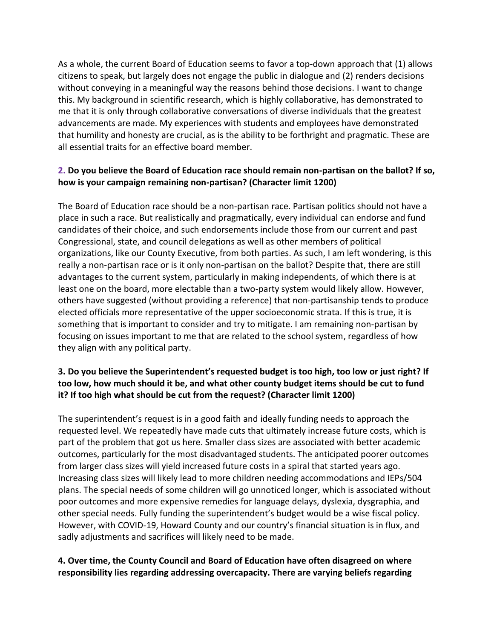As a whole, the current Board of Education seems to favor a top-down approach that (1) allows citizens to speak, but largely does not engage the public in dialogue and (2) renders decisions without conveying in a meaningful way the reasons behind those decisions. I want to change this. My background in scientific research, which is highly collaborative, has demonstrated to me that it is only through collaborative conversations of diverse individuals that the greatest advancements are made. My experiences with students and employees have demonstrated that humility and honesty are crucial, as is the ability to be forthright and pragmatic. These are all essential traits for an effective board member.

# **2. Do you believe the Board of Education race should remain non-partisan on the ballot? If so, how is your campaign remaining non-partisan? (Character limit 1200)**

The Board of Education race should be a non-partisan race. Partisan politics should not have a place in such a race. But realistically and pragmatically, every individual can endorse and fund candidates of their choice, and such endorsements include those from our current and past Congressional, state, and council delegations as well as other members of political organizations, like our County Executive, from both parties. As such, I am left wondering, is this really a non-partisan race or is it only non-partisan on the ballot? Despite that, there are still advantages to the current system, particularly in making independents, of which there is at least one on the board, more electable than a two-party system would likely allow. However, others have suggested (without providing a reference) that non-partisanship tends to produce elected officials more representative of the upper socioeconomic strata. If this is true, it is something that is important to consider and try to mitigate. I am remaining non-partisan by focusing on issues important to me that are related to the school system, regardless of how they align with any political party.

# **3. Do you believe the Superintendent's requested budget is too high, too low or just right? If too low, how much should it be, and what other county budget items should be cut to fund it? If too high what should be cut from the request? (Character limit 1200)**

The superintendent's request is in a good faith and ideally funding needs to approach the requested level. We repeatedly have made cuts that ultimately increase future costs, which is part of the problem that got us here. Smaller class sizes are associated with better academic outcomes, particularly for the most disadvantaged students. The anticipated poorer outcomes from larger class sizes will yield increased future costs in a spiral that started years ago. Increasing class sizes will likely lead to more children needing accommodations and IEPs/504 plans. The special needs of some children will go unnoticed longer, which is associated without poor outcomes and more expensive remedies for language delays, dyslexia, dysgraphia, and other special needs. Fully funding the superintendent's budget would be a wise fiscal policy. However, with COVID-19, Howard County and our country's financial situation is in flux, and sadly adjustments and sacrifices will likely need to be made.

#### **4. Over time, the County Council and Board of Education have often disagreed on where responsibility lies regarding addressing overcapacity. There are varying beliefs regarding**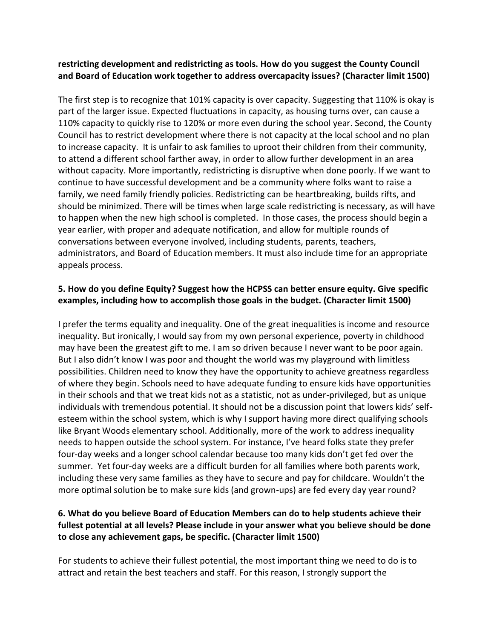#### **restricting development and redistricting as tools. How do you suggest the County Council and Board of Education work together to address overcapacity issues? (Character limit 1500)**

The first step is to recognize that 101% capacity is over capacity. Suggesting that 110% is okay is part of the larger issue. Expected fluctuations in capacity, as housing turns over, can cause a 110% capacity to quickly rise to 120% or more even during the school year. Second, the County Council has to restrict development where there is not capacity at the local school and no plan to increase capacity. It is unfair to ask families to uproot their children from their community, to attend a different school farther away, in order to allow further development in an area without capacity. More importantly, redistricting is disruptive when done poorly. If we want to continue to have successful development and be a community where folks want to raise a family, we need family friendly policies. Redistricting can be heartbreaking, builds rifts, and should be minimized. There will be times when large scale redistricting is necessary, as will have to happen when the new high school is completed. In those cases, the process should begin a year earlier, with proper and adequate notification, and allow for multiple rounds of conversations between everyone involved, including students, parents, teachers, administrators, and Board of Education members. It must also include time for an appropriate appeals process.

# **5. How do you define Equity? Suggest how the HCPSS can better ensure equity. Give specific examples, including how to accomplish those goals in the budget. (Character limit 1500)**

I prefer the terms equality and inequality. One of the great inequalities is income and resource inequality. But ironically, I would say from my own personal experience, poverty in childhood may have been the greatest gift to me. I am so driven because I never want to be poor again. But I also didn't know I was poor and thought the world was my playground with limitless possibilities. Children need to know they have the opportunity to achieve greatness regardless of where they begin. Schools need to have adequate funding to ensure kids have opportunities in their schools and that we treat kids not as a statistic, not as under-privileged, but as unique individuals with tremendous potential. It should not be a discussion point that lowers kids' selfesteem within the school system, which is why I support having more direct qualifying schools like Bryant Woods elementary school. Additionally, more of the work to address inequality needs to happen outside the school system. For instance, I've heard folks state they prefer four-day weeks and a longer school calendar because too many kids don't get fed over the summer. Yet four-day weeks are a difficult burden for all families where both parents work, including these very same families as they have to secure and pay for childcare. Wouldn't the more optimal solution be to make sure kids (and grown-ups) are fed every day year round?

### **6. What do you believe Board of Education Members can do to help students achieve their fullest potential at all levels? Please include in your answer what you believe should be done to close any achievement gaps, be specific. (Character limit 1500)**

For students to achieve their fullest potential, the most important thing we need to do is to attract and retain the best teachers and staff. For this reason, I strongly support the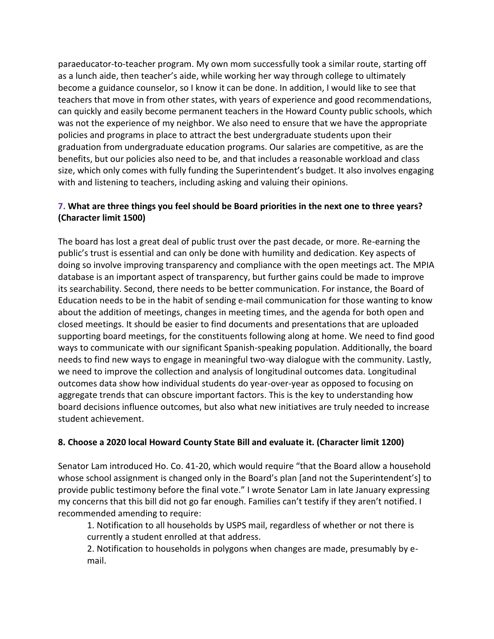paraeducator-to-teacher program. My own mom successfully took a similar route, starting off as a lunch aide, then teacher's aide, while working her way through college to ultimately become a guidance counselor, so I know it can be done. In addition, I would like to see that teachers that move in from other states, with years of experience and good recommendations, can quickly and easily become permanent teachers in the Howard County public schools, which was not the experience of my neighbor. We also need to ensure that we have the appropriate policies and programs in place to attract the best undergraduate students upon their graduation from undergraduate education programs. Our salaries are competitive, as are the benefits, but our policies also need to be, and that includes a reasonable workload and class size, which only comes with fully funding the Superintendent's budget. It also involves engaging with and listening to teachers, including asking and valuing their opinions.

# **7. What are three things you feel should be Board priorities in the next one to three years? (Character limit 1500)**

The board has lost a great deal of public trust over the past decade, or more. Re-earning the public's trust is essential and can only be done with humility and dedication. Key aspects of doing so involve improving transparency and compliance with the open meetings act. The MPIA database is an important aspect of transparency, but further gains could be made to improve its searchability. Second, there needs to be better communication. For instance, the Board of Education needs to be in the habit of sending e-mail communication for those wanting to know about the addition of meetings, changes in meeting times, and the agenda for both open and closed meetings. It should be easier to find documents and presentations that are uploaded supporting board meetings, for the constituents following along at home. We need to find good ways to communicate with our significant Spanish-speaking population. Additionally, the board needs to find new ways to engage in meaningful two-way dialogue with the community. Lastly, we need to improve the collection and analysis of longitudinal outcomes data. Longitudinal outcomes data show how individual students do year-over-year as opposed to focusing on aggregate trends that can obscure important factors. This is the key to understanding how board decisions influence outcomes, but also what new initiatives are truly needed to increase student achievement.

#### **8. Choose a 2020 local Howard County State Bill and evaluate it. (Character limit 1200)**

Senator Lam introduced Ho. Co. 41-20, which would require "that the Board allow a household whose school assignment is changed only in the Board's plan [and not the Superintendent's] to provide public testimony before the final vote." I wrote Senator Lam in late January expressing my concerns that this bill did not go far enough. Families can't testify if they aren't notified. I recommended amending to require:

1. Notification to all households by USPS mail, regardless of whether or not there is currently a student enrolled at that address.

2. Notification to households in polygons when changes are made, presumably by email.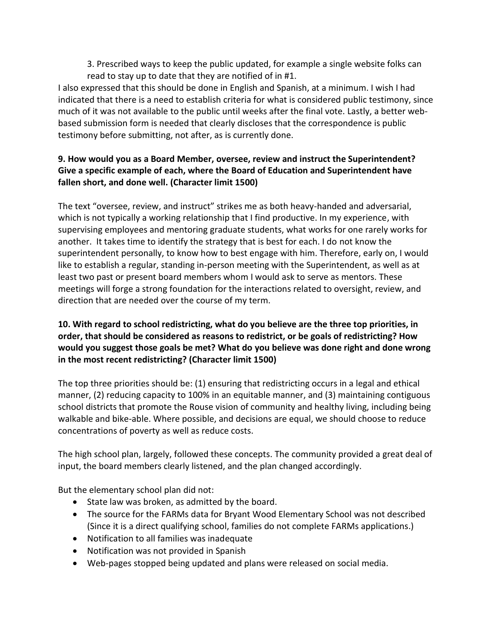3. Prescribed ways to keep the public updated, for example a single website folks can read to stay up to date that they are notified of in #1.

I also expressed that this should be done in English and Spanish, at a minimum. I wish I had indicated that there is a need to establish criteria for what is considered public testimony, since much of it was not available to the public until weeks after the final vote. Lastly, a better webbased submission form is needed that clearly discloses that the correspondence is public testimony before submitting, not after, as is currently done.

# **9. How would you as a Board Member, oversee, review and instruct the Superintendent? Give a specific example of each, where the Board of Education and Superintendent have fallen short, and done well. (Character limit 1500)**

The text "oversee, review, and instruct" strikes me as both heavy-handed and adversarial, which is not typically a working relationship that I find productive. In my experience, with supervising employees and mentoring graduate students, what works for one rarely works for another. It takes time to identify the strategy that is best for each. I do not know the superintendent personally, to know how to best engage with him. Therefore, early on, I would like to establish a regular, standing in-person meeting with the Superintendent, as well as at least two past or present board members whom I would ask to serve as mentors. These meetings will forge a strong foundation for the interactions related to oversight, review, and direction that are needed over the course of my term.

# **10. With regard to school redistricting, what do you believe are the three top priorities, in order, that should be considered as reasons to redistrict, or be goals of redistricting? How would you suggest those goals be met? What do you believe was done right and done wrong in the most recent redistricting? (Character limit 1500)**

The top three priorities should be: (1) ensuring that redistricting occurs in a legal and ethical manner, (2) reducing capacity to 100% in an equitable manner, and (3) maintaining contiguous school districts that promote the Rouse vision of community and healthy living, including being walkable and bike-able. Where possible, and decisions are equal, we should choose to reduce concentrations of poverty as well as reduce costs.

The high school plan, largely, followed these concepts. The community provided a great deal of input, the board members clearly listened, and the plan changed accordingly.

But the elementary school plan did not:

- State law was broken, as admitted by the board.
- The source for the FARMs data for Bryant Wood Elementary School was not described (Since it is a direct qualifying school, families do not complete FARMs applications.)
- Notification to all families was inadequate
- Notification was not provided in Spanish
- Web-pages stopped being updated and plans were released on social media.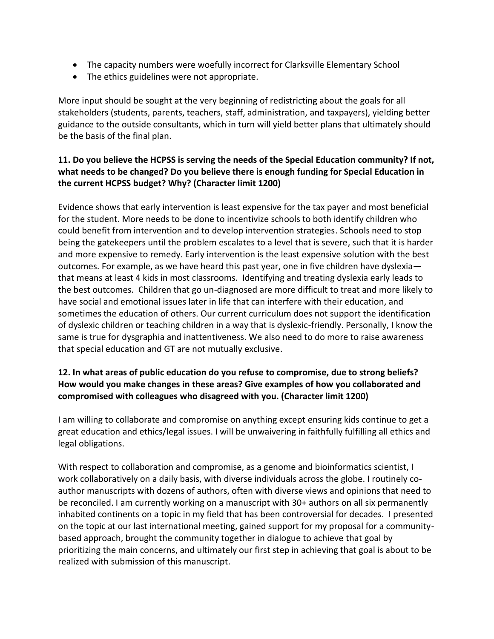- The capacity numbers were woefully incorrect for Clarksville Elementary School
- The ethics guidelines were not appropriate.

More input should be sought at the very beginning of redistricting about the goals for all stakeholders (students, parents, teachers, staff, administration, and taxpayers), yielding better guidance to the outside consultants, which in turn will yield better plans that ultimately should be the basis of the final plan.

# **11. Do you believe the HCPSS is serving the needs of the Special Education community? If not, what needs to be changed? Do you believe there is enough funding for Special Education in the current HCPSS budget? Why? (Character limit 1200)**

Evidence shows that early intervention is least expensive for the tax payer and most beneficial for the student. More needs to be done to incentivize schools to both identify children who could benefit from intervention and to develop intervention strategies. Schools need to stop being the gatekeepers until the problem escalates to a level that is severe, such that it is harder and more expensive to remedy. Early intervention is the least expensive solution with the best outcomes. For example, as we have heard this past year, one in five children have dyslexia that means at least 4 kids in most classrooms. Identifying and treating dyslexia early leads to the best outcomes. Children that go un-diagnosed are more difficult to treat and more likely to have social and emotional issues later in life that can interfere with their education, and sometimes the education of others. Our current curriculum does not support the identification of dyslexic children or teaching children in a way that is dyslexic-friendly. Personally, I know the same is true for dysgraphia and inattentiveness. We also need to do more to raise awareness that special education and GT are not mutually exclusive.

# **12. In what areas of public education do you refuse to compromise, due to strong beliefs? How would you make changes in these areas? Give examples of how you collaborated and compromised with colleagues who disagreed with you. (Character limit 1200)**

I am willing to collaborate and compromise on anything except ensuring kids continue to get a great education and ethics/legal issues. I will be unwaivering in faithfully fulfilling all ethics and legal obligations.

With respect to collaboration and compromise, as a genome and bioinformatics scientist, I work collaboratively on a daily basis, with diverse individuals across the globe. I routinely coauthor manuscripts with dozens of authors, often with diverse views and opinions that need to be reconciled. I am currently working on a manuscript with 30+ authors on all six permanently inhabited continents on a topic in my field that has been controversial for decades. I presented on the topic at our last international meeting, gained support for my proposal for a communitybased approach, brought the community together in dialogue to achieve that goal by prioritizing the main concerns, and ultimately our first step in achieving that goal is about to be realized with submission of this manuscript.